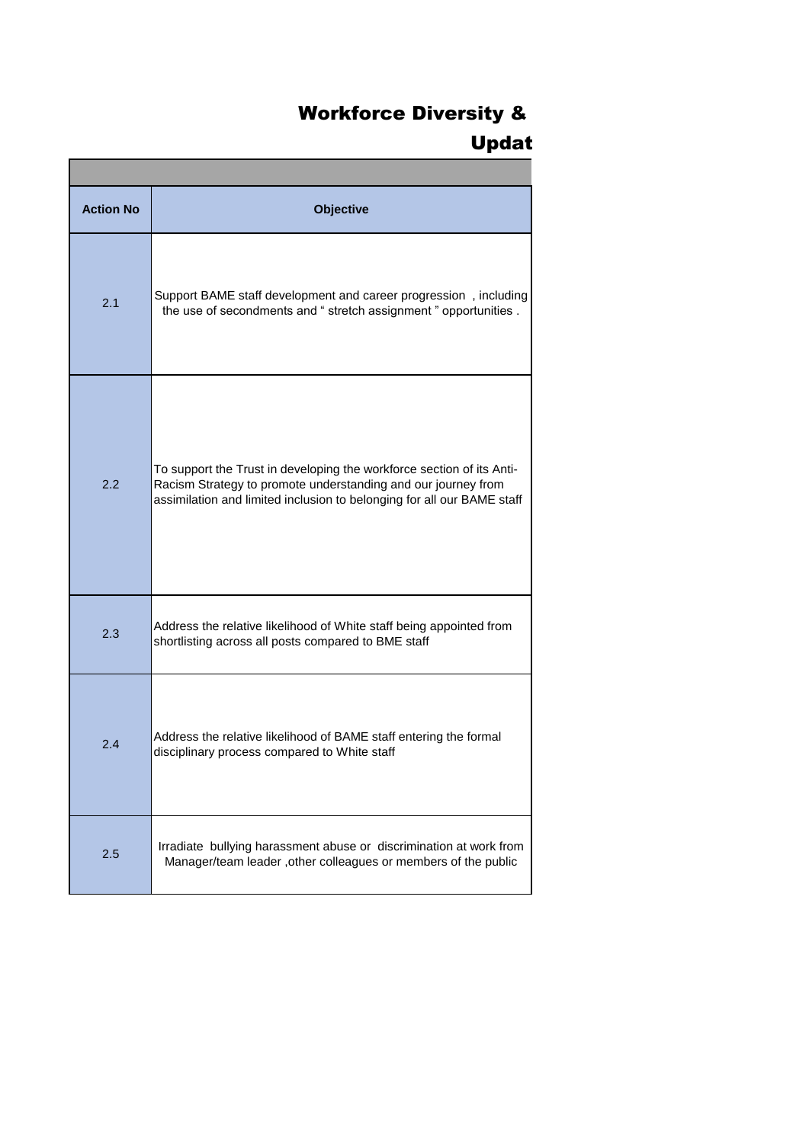## **Workforce Diversity &** Updat

| <b>Action No</b> | <b>Objective</b>                                                                                                                                                                                                 |  |
|------------------|------------------------------------------------------------------------------------------------------------------------------------------------------------------------------------------------------------------|--|
| 2.1              | Support BAME staff development and career progression, including<br>the use of secondments and " stretch assignment " opportunities .                                                                            |  |
| 2.2              | To support the Trust in developing the workforce section of its Anti-<br>Racism Strategy to promote understanding and our journey from<br>assimilation and limited inclusion to belonging for all our BAME staff |  |
| 2.3              | Address the relative likelihood of White staff being appointed from<br>shortlisting across all posts compared to BME staff                                                                                       |  |
| 2.4              | Address the relative likelihood of BAME staff entering the formal<br>disciplinary process compared to White staff                                                                                                |  |
| 2.5              | Irradiate bullying harassment abuse or discrimination at work from<br>Manager/team leader, other colleagues or members of the public                                                                             |  |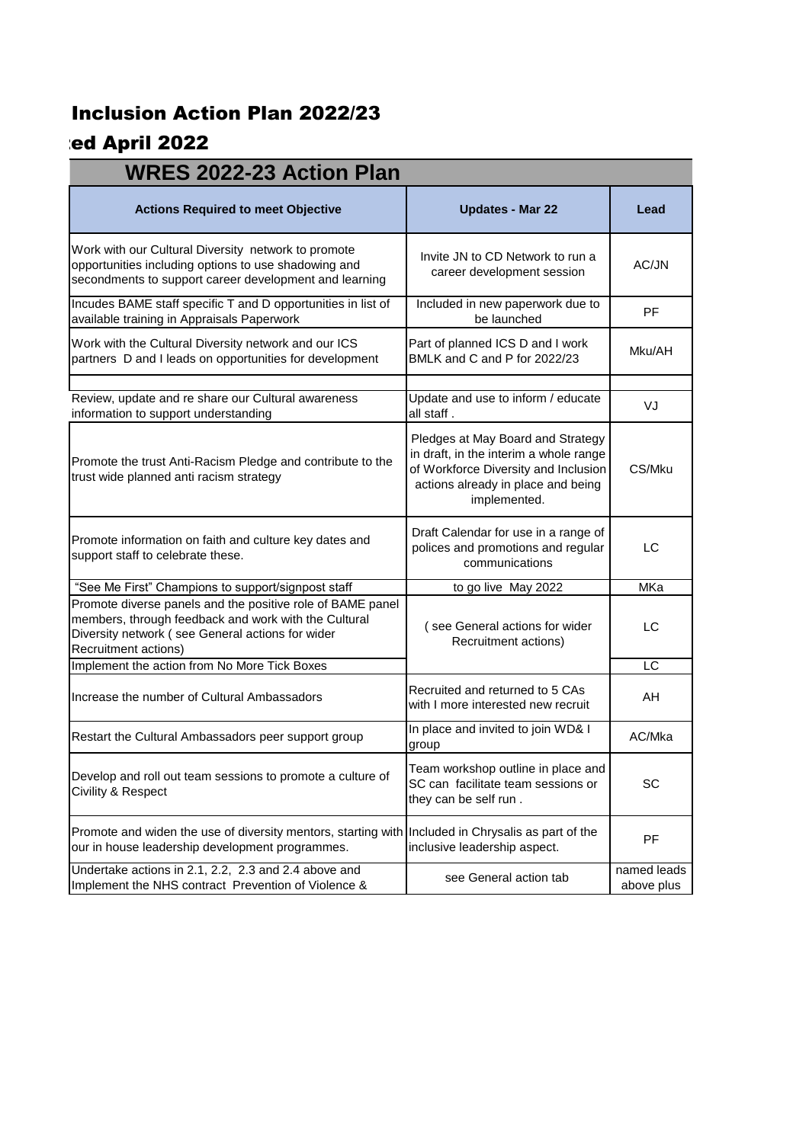## **Inclusion Action Plan 2022/23**

## ed April 2022

| <b>WRES 2022-23 Action Plan</b>                                                                                                                                                                |                                                                                                                                                                           |                           |  |  |
|------------------------------------------------------------------------------------------------------------------------------------------------------------------------------------------------|---------------------------------------------------------------------------------------------------------------------------------------------------------------------------|---------------------------|--|--|
| <b>Actions Required to meet Objective</b>                                                                                                                                                      | <b>Updates - Mar 22</b>                                                                                                                                                   | Lead                      |  |  |
| Work with our Cultural Diversity network to promote<br>opportunities including options to use shadowing and<br>secondments to support career development and learning                          | Invite JN to CD Network to run a<br>career development session                                                                                                            | AC/JN                     |  |  |
| Incudes BAME staff specific T and D opportunities in list of<br>available training in Appraisals Paperwork                                                                                     | Included in new paperwork due to<br>be launched                                                                                                                           | <b>PF</b>                 |  |  |
| Work with the Cultural Diversity network and our ICS<br>partners D and I leads on opportunities for development                                                                                | Part of planned ICS D and I work<br>BMLK and C and P for 2022/23                                                                                                          | Mku/AH                    |  |  |
| Review, update and re share our Cultural awareness<br>information to support understanding                                                                                                     | Update and use to inform / educate<br>all staff.                                                                                                                          | VJ                        |  |  |
| Promote the trust Anti-Racism Pledge and contribute to the<br>trust wide planned anti racism strategy                                                                                          | Pledges at May Board and Strategy<br>in draft, in the interim a whole range<br>of Workforce Diversity and Inclusion<br>actions already in place and being<br>implemented. | CS/Mku                    |  |  |
| Promote information on faith and culture key dates and<br>support staff to celebrate these.                                                                                                    | Draft Calendar for use in a range of<br>polices and promotions and regular<br>communications                                                                              | LC                        |  |  |
| "See Me First" Champions to support/signpost staff                                                                                                                                             | to go live May 2022                                                                                                                                                       | MKa                       |  |  |
| Promote diverse panels and the positive role of BAME panel<br>members, through feedback and work with the Cultural<br>Diversity network (see General actions for wider<br>Recruitment actions) | (see General actions for wider<br>Recruitment actions)                                                                                                                    | LC                        |  |  |
| Implement the action from No More Tick Boxes                                                                                                                                                   |                                                                                                                                                                           | $\overline{LC}$           |  |  |
| Increase the number of Cultural Ambassadors                                                                                                                                                    | Recruited and returned to 5 CAs<br>with I more interested new recruit                                                                                                     | AH                        |  |  |
| Restart the Cultural Ambassadors peer support group                                                                                                                                            | In place and invited to join WD& I<br>group                                                                                                                               | AC/Mka                    |  |  |
| Develop and roll out team sessions to promote a culture of<br>Civility & Respect                                                                                                               | Team workshop outline in place and<br>SC can facilitate team sessions or<br>they can be self run.                                                                         | SC                        |  |  |
| Promote and widen the use of diversity mentors, starting with Included in Chrysalis as part of the<br>our in house leadership development programmes.                                          | inclusive leadership aspect.                                                                                                                                              | <b>PF</b>                 |  |  |
| Undertake actions in 2.1, 2.2, 2.3 and 2.4 above and<br>Implement the NHS contract Prevention of Violence &                                                                                    | see General action tab                                                                                                                                                    | named leads<br>above plus |  |  |